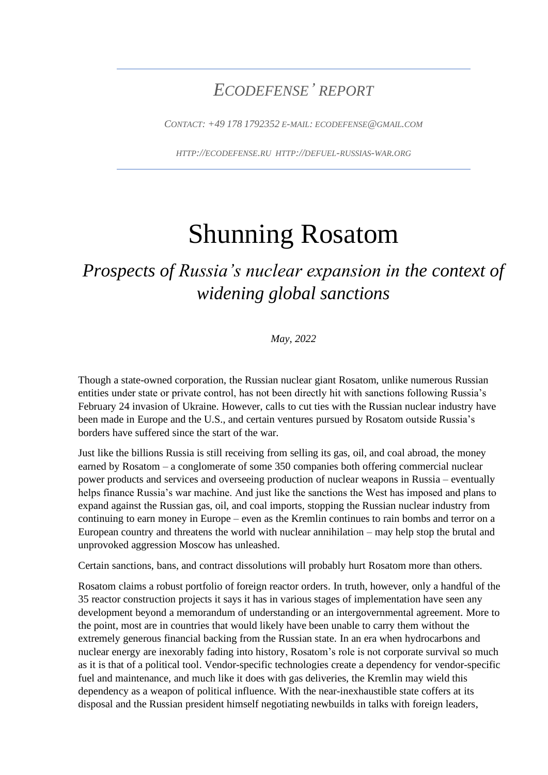# *ECODEFENSE' REPORT*

*CONTACT: +49 178 1792352 E-MAIL: ECODEFENSE@GMAIL.COM*

*HTTP://ECODEFENSE.RU HTTP://DEFUEL-RUSSIAS-WAR.ORG*

# Shunning Rosatom

# *Prospects of Russia's nuclear expansion in the context of widening global sanctions*

*May, 2022*

Though a state-owned corporation, the Russian nuclear giant Rosatom, unlike numerous Russian entities under state or private control, has not been directly hit with sanctions following Russia's February 24 invasion of Ukraine. However, calls to cut ties with the Russian nuclear industry have been made in Europe and the U.S., and certain ventures pursued by Rosatom outside Russia's borders have suffered since the start of the war.

Just like the billions Russia is still receiving from selling its gas, oil, and coal abroad, the money earned by Rosatom – a conglomerate of some 350 companies both offering commercial nuclear power products and services and overseeing production of nuclear weapons in Russia – eventually helps finance Russia's war machine. And just like the sanctions the West has imposed and plans to expand against the Russian gas, oil, and coal imports, stopping the Russian nuclear industry from continuing to earn money in Europe – even as the Kremlin continues to rain bombs and terror on a European country and threatens the world with nuclear annihilation – may help stop the brutal and unprovoked aggression Moscow has unleashed.

Certain sanctions, bans, and contract dissolutions will probably hurt Rosatom more than others.

Rosatom claims a robust portfolio of foreign reactor orders. In truth, however, only a handful of the 35 reactor construction projects it says it has in various stages of implementation have seen any development beyond a memorandum of understanding or an intergovernmental agreement. More to the point, most are in countries that would likely have been unable to carry them without the extremely generous financial backing from the Russian state. In an era when hydrocarbons and nuclear energy are inexorably fading into history, Rosatom's role is not corporate survival so much as it is that of a political tool. Vendor-specific technologies create a dependency for vendor-specific fuel and maintenance, and much like it does with gas deliveries, the Kremlin may wield this dependency as a weapon of political influence. With the near-inexhaustible state coffers at its disposal and the Russian president himself negotiating newbuilds in talks with foreign leaders,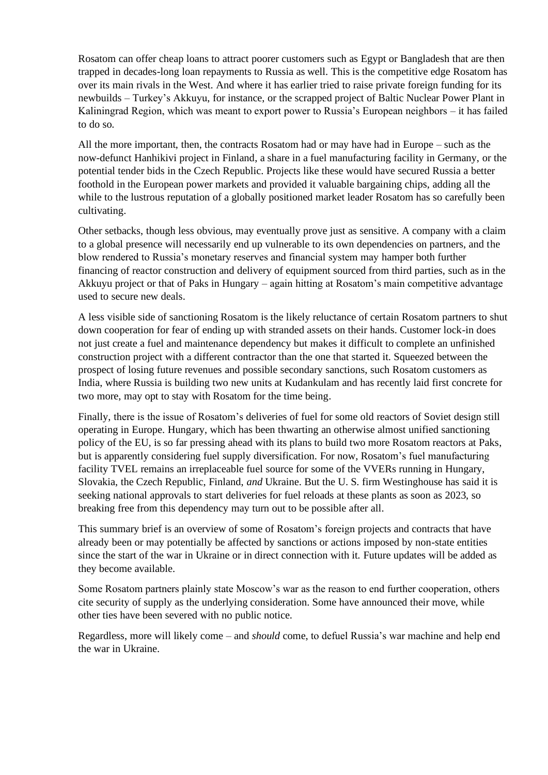Rosatom can offer cheap loans to attract poorer customers such as Egypt or Bangladesh that are then trapped in decades-long loan repayments to Russia as well. This is the competitive edge Rosatom has over its main rivals in the West. And where it has earlier tried to raise private foreign funding for its newbuilds – Turkey's Akkuyu, for instance, or the scrapped project of Baltic Nuclear Power Plant in Kaliningrad Region, which was meant to export power to Russia's European neighbors – it has failed to do so.

All the more important, then, the contracts Rosatom had or may have had in Europe – such as the now-defunct Hanhikivi project in Finland, a share in a fuel manufacturing facility in Germany, or the potential tender bids in the Czech Republic. Projects like these would have secured Russia a better foothold in the European power markets and provided it valuable bargaining chips, adding all the while to the lustrous reputation of a globally positioned market leader Rosatom has so carefully been cultivating.

Other setbacks, though less obvious, may eventually prove just as sensitive. A company with a claim to a global presence will necessarily end up vulnerable to its own dependencies on partners, and the blow rendered to Russia's monetary reserves and financial system may hamper both further financing of reactor construction and delivery of equipment sourced from third parties, such as in the Akkuyu project or that of Paks in Hungary – again hitting at Rosatom's main competitive advantage used to secure new deals.

A less visible side of sanctioning Rosatom is the likely reluctance of certain Rosatom partners to shut down cooperation for fear of ending up with stranded assets on their hands. Customer lock-in does not just create a fuel and maintenance dependency but makes it difficult to complete an unfinished construction project with a different contractor than the one that started it. Squeezed between the prospect of losing future revenues and possible secondary sanctions, such Rosatom customers as India, where Russia is building two new units at Kudankulam and has recently laid first concrete for two more, may opt to stay with Rosatom for the time being.

Finally, there is the issue of Rosatom's deliveries of fuel for some old reactors of Soviet design still operating in Europe. Hungary, which has been thwarting an otherwise almost unified sanctioning policy of the EU, is so far pressing ahead with its plans to build two more Rosatom reactors at Paks, but is apparently considering fuel supply diversification. For now, Rosatom's fuel manufacturing facility TVEL remains an irreplaceable fuel source for some of the VVERs running in Hungary, Slovakia, the Czech Republic, Finland, *and* Ukraine. But the U. S. firm Westinghouse has said it is seeking national approvals to start deliveries for fuel reloads at these plants as soon as 2023, so breaking free from this dependency may turn out to be possible after all.

This summary brief is an overview of some of Rosatom's foreign projects and contracts that have already been or may potentially be affected by sanctions or actions imposed by non-state entities since the start of the war in Ukraine or in direct connection with it. Future updates will be added as they become available.

Some Rosatom partners plainly state Moscow's war as the reason to end further cooperation, others cite security of supply as the underlying consideration. Some have announced their move, while other ties have been severed with no public notice.

Regardless, more will likely come – and *should* come, to defuel Russia's war machine and help end the war in Ukraine.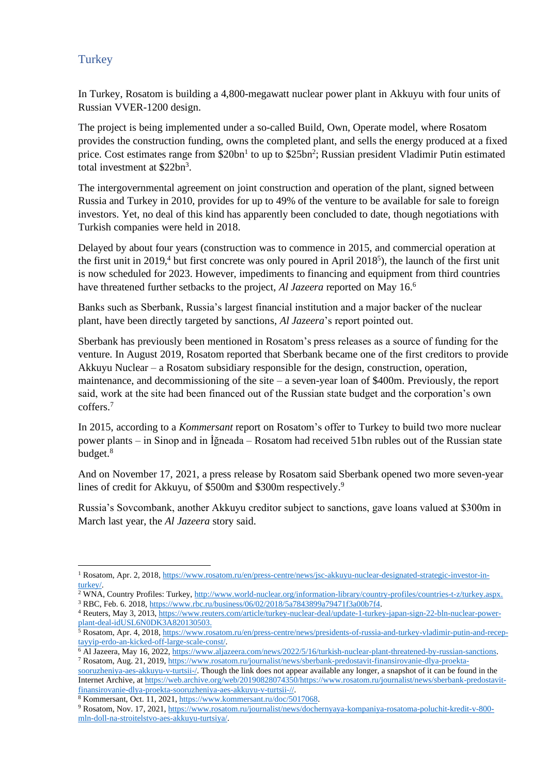### **Turkey**

In Turkey, Rosatom is building a 4,800-megawatt nuclear power plant in Akkuyu with four units of Russian VVER-1200 design.

The project is being implemented under a so-called Build, Own, Operate model, where Rosatom provides the construction funding, owns the completed plant, and sells the energy produced at a fixed price. Cost estimates range from  $$20bn<sup>1</sup>$  to up to  $$25bn<sup>2</sup>$ ; Russian president Vladimir Putin estimated total investment at \$22bn<sup>3</sup>.

The intergovernmental agreement on joint construction and operation of the plant, signed between Russia and Turkey in 2010, provides for up to 49% of the venture to be available for sale to foreign investors. Yet, no deal of this kind has apparently been concluded to date, though negotiations with Turkish companies were held in 2018.

Delayed by about four years (construction was to commence in 2015, and commercial operation at the first unit in 2019,<sup>4</sup> but first concrete was only poured in April 2018<sup>5</sup>), the launch of the first unit is now scheduled for 2023. However, impediments to financing and equipment from third countries have threatened further setbacks to the project, *Al Jazeera* reported on May 16.<sup>6</sup>

Banks such as Sberbank, Russia's largest financial institution and a major backer of the nuclear plant, have been directly targeted by sanctions, *Al Jazeera*'s report pointed out.

Sberbank has previously been mentioned in Rosatom's press releases as a source of funding for the venture. In August 2019, Rosatom reported that Sberbank became one of the first creditors to provide Akkuyu Nuclear – a Rosatom subsidiary responsible for the design, construction, operation, maintenance, and decommissioning of the site – a seven-year loan of \$400m. Previously, the report said, work at the site had been financed out of the Russian state budget and the corporation's own coffers. 7

In 2015, according to a *Kommersant* report on Rosatom's offer to Turkey to build two more nuclear power plants – in Sinop and in İğneada – Rosatom had received 51bn rubles out of the Russian state budget.<sup>8</sup>

And on November 17, 2021, a press release by Rosatom said Sberbank opened two more seven-year lines of credit for Akkuyu, of \$500m and \$300m respectively.<sup>9</sup>

Russia's Sovcombank, another Akkuyu creditor subject to sanctions, gave loans valued at \$300m in March last year, the *Al Jazeera* story said.

<sup>&</sup>lt;sup>1</sup> Rosatom, Apr. 2, 2018, [https://www.rosatom.ru/en/press-centre/news/jsc-akkuyu-nuclear-designated-strategic-investor-in](https://www.rosatom.ru/en/press-centre/news/jsc-akkuyu-nuclear-designated-strategic-investor-in-turkey/)[turkey/.](https://www.rosatom.ru/en/press-centre/news/jsc-akkuyu-nuclear-designated-strategic-investor-in-turkey/)

<sup>2</sup> WNA, Country Profiles: Turkey[, http://www.world-nuclear.org/information-library/country-profiles/countries-t-z/turkey.aspx.](http://www.world-nuclear.org/information-library/country-profiles/countries-t-z/turkey.aspx) <sup>3</sup> RBC, Feb. 6. 2018, [https://www.rbc.ru/business/06/02/2018/5a7843899a79471f3a00b7f4.](https://www.rbc.ru/business/06/02/2018/5a7843899a79471f3a00b7f4)

<sup>4</sup> Reuters, May 3, 2013[, https://www.reuters.com/article/turkey-nuclear-deal/update-1-turkey-japan-sign-22-bln-nuclear-power](https://www.reuters.com/article/turkey-nuclear-deal/update-1-turkey-japan-sign-22-bln-nuclear-power-plant-deal-idUSL6N0DK3A820130503)[plant-deal-idUSL6N0DK3A820130503.](https://www.reuters.com/article/turkey-nuclear-deal/update-1-turkey-japan-sign-22-bln-nuclear-power-plant-deal-idUSL6N0DK3A820130503)

<sup>5</sup> Rosatom, Apr. 4, 2018, [https://www.rosatom.ru/en/press-centre/news/presidents-of-russia-and-turkey-vladimir-putin-and-recep](https://www.rosatom.ru/en/press-centre/news/presidents-of-russia-and-turkey-vladimir-putin-and-recep-tayyip-erdo-an-kicked-off-large-scale-const/)[tayyip-erdo-an-kicked-off-large-scale-const/.](https://www.rosatom.ru/en/press-centre/news/presidents-of-russia-and-turkey-vladimir-putin-and-recep-tayyip-erdo-an-kicked-off-large-scale-const/)

<sup>6</sup> Al Jazeera, May 16, 2022[, https://www.aljazeera.com/news/2022/5/16/turkish-nuclear-plant-threatened-by-russian-sanctions.](https://www.aljazeera.com/news/2022/5/16/turkish-nuclear-plant-threatened-by-russian-sanctions) <sup>7</sup> Rosatom, Aug. 21, 2019, [https://www.rosatom.ru/journalist/news/sberbank-predostavit-finansirovanie-dlya-proekta-](https://www.rosatom.ru/journalist/news/sberbank-predostavit-finansirovanie-dlya-proekta-sooruzheniya-aes-akkuyu-v-turtsii-/)

[sooruzheniya-aes-akkuyu-v-turtsii-/.](https://www.rosatom.ru/journalist/news/sberbank-predostavit-finansirovanie-dlya-proekta-sooruzheniya-aes-akkuyu-v-turtsii-/) Though the link does not appear available any longer, a snapshot of it can be found in the Internet Archive, a[t https://web.archive.org/web/20190828074350/https://www.rosatom.ru/journalist/news/sberbank-predostavit](https://web.archive.org/web/20190828074350/https:/www.rosatom.ru/journalist/news/sberbank-predostavit-finansirovanie-dlya-proekta-sooruzheniya-aes-akkuyu-v-turtsii-/)[finansirovanie-dlya-proekta-sooruzheniya-aes-akkuyu-v-turtsii-//.](https://web.archive.org/web/20190828074350/https:/www.rosatom.ru/journalist/news/sberbank-predostavit-finansirovanie-dlya-proekta-sooruzheniya-aes-akkuyu-v-turtsii-/)

<sup>8</sup> Kommersant, Oct. 11, 2021, [https://www.kommersant.ru/doc/5017068.](https://www.kommersant.ru/doc/5017068)

<sup>9</sup> Rosatom, Nov. 17, 2021, [https://www.rosatom.ru/journalist/news/dochernyaya-kompaniya-rosatoma-poluchit-kredit-v-800](https://www.rosatom.ru/journalist/news/dochernyaya-kompaniya-rosatoma-poluchit-kredit-v-800-mln-doll-na-stroitelstvo-aes-akkuyu-turtsiya/) [mln-doll-na-stroitelstvo-aes-akkuyu-turtsiya/.](https://www.rosatom.ru/journalist/news/dochernyaya-kompaniya-rosatoma-poluchit-kredit-v-800-mln-doll-na-stroitelstvo-aes-akkuyu-turtsiya/)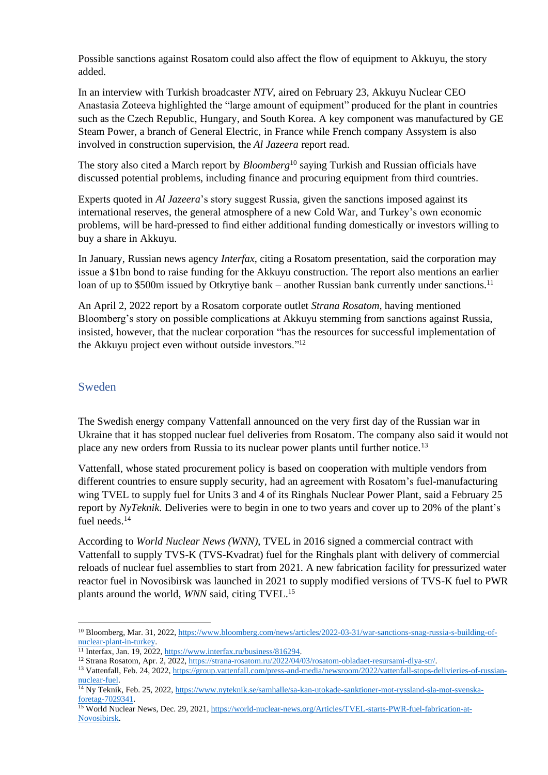Possible sanctions against Rosatom could also affect the flow of equipment to Akkuyu, the story added.

In an interview with Turkish broadcaster *NTV*, aired on February 23, Akkuyu Nuclear CEO Anastasia Zoteeva highlighted the "large amount of equipment" produced for the plant in countries such as the Czech Republic, Hungary, and South Korea. A key component was manufactured by GE Steam Power, a branch of General Electric, in France while French company Assystem is also involved in construction supervision, the *Al Jazeera* report read.

The story also cited a March report by *Bloomberg*<sup>10</sup> saying Turkish and Russian officials have discussed potential problems, including finance and procuring equipment from third countries.

Experts quoted in *Al Jazeera*'s story suggest Russia, given the sanctions imposed against its international reserves, the general atmosphere of a new Cold War, and Turkey's own economic problems, will be hard-pressed to find either additional funding domestically or investors willing to buy a share in Akkuyu.

In January, Russian news agency *Interfax*, citing a Rosatom presentation, said the corporation may issue a \$1bn bond to raise funding for the Akkuyu construction. The report also mentions an earlier loan of up to \$500m issued by Otkrytiye bank – another Russian bank currently under sanctions.<sup>11</sup>

An April 2, 2022 report by a Rosatom corporate outlet *Strana Rosatom,* having mentioned Bloomberg's story on possible complications at Akkuyu stemming from sanctions against Russia, insisted, however, that the nuclear corporation "has the resources for successful implementation of the Akkuyu project even without outside investors."<sup>12</sup>

#### Sweden

The Swedish energy company Vattenfall announced on the very first day of the Russian war in Ukraine that it has stopped nuclear fuel deliveries from Rosatom. The company also said it would not place any new orders from Russia to its nuclear power plants until further notice.<sup>13</sup>

Vattenfall, whose stated procurement policy is based on cooperation with multiple vendors from different countries to ensure supply security, had an agreement with Rosatom's fuel-manufacturing wing TVEL to supply fuel for Units 3 and 4 of its Ringhals Nuclear Power Plant, said a February 25 report by *NyTeknik*. Deliveries were to begin in one to two years and cover up to 20% of the plant's fuel needs.<sup>14</sup>

According to *World Nuclear News (WNN)*, TVEL in 2016 signed a commercial contract with Vattenfall to supply TVS-K (TVS-Kvadrat) fuel for the Ringhals plant with delivery of commercial reloads of nuclear fuel assemblies to start from 2021. A new fabrication facility for pressurized water reactor fuel in Novosibirsk was launched in 2021 to supply modified versions of TVS-K fuel to PWR plants around the world, *WNN* said, citing TVEL.<sup>15</sup>

<sup>&</sup>lt;sup>10</sup> Bloomberg, Mar. 31, 2022, [https://www.bloomberg.com/news/articles/2022-03-31/war-sanctions-snag-russia-s-building-of](https://www.bloomberg.com/news/articles/2022-03-31/war-sanctions-snag-russia-s-building-of-nuclear-plant-in-turkey)[nuclear-plant-in-turkey.](https://www.bloomberg.com/news/articles/2022-03-31/war-sanctions-snag-russia-s-building-of-nuclear-plant-in-turkey)

<sup>&</sup>lt;sup>11</sup> Interfax, Jan. 19, 2022, [https://www.interfax.ru/business/816294.](https://www.interfax.ru/business/816294)

<sup>12</sup> Strana Rosatom, Apr. 2, 2022, [https://strana-rosatom.ru/2022/04/03/rosatom-obladaet-resursami-dlya-str/.](https://strana-rosatom.ru/2022/04/03/rosatom-obladaet-resursami-dlya-str/)

<sup>&</sup>lt;sup>13</sup> Vattenfall, Feb. 24, 2022, [https://group.vattenfall.com/press-and-media/newsroom/2022/vattenfall-stops-delivieries-of-russian](https://group.vattenfall.com/press-and-media/newsroom/2022/vattenfall-stops-delivieries-of-russian-nuclear-fuel)[nuclear-fuel.](https://group.vattenfall.com/press-and-media/newsroom/2022/vattenfall-stops-delivieries-of-russian-nuclear-fuel)

<sup>14</sup> Ny Teknik, Feb. 25, 2022[, https://www.nyteknik.se/samhalle/sa-kan-utokade-sanktioner-mot-ryssland-sla-mot-svenska](https://www.nyteknik.se/samhalle/sa-kan-utokade-sanktioner-mot-ryssland-sla-mot-svenska-foretag-7029341)[foretag-7029341.](https://www.nyteknik.se/samhalle/sa-kan-utokade-sanktioner-mot-ryssland-sla-mot-svenska-foretag-7029341)

<sup>&</sup>lt;sup>15</sup> World Nuclear News, Dec. 29, 2021[, https://world-nuclear-news.org/Articles/TVEL-starts-PWR-fuel-fabrication-at-](https://world-nuclear-news.org/Articles/TVEL-starts-PWR-fuel-fabrication-at-Novosibirsk)[Novosibirsk.](https://world-nuclear-news.org/Articles/TVEL-starts-PWR-fuel-fabrication-at-Novosibirsk)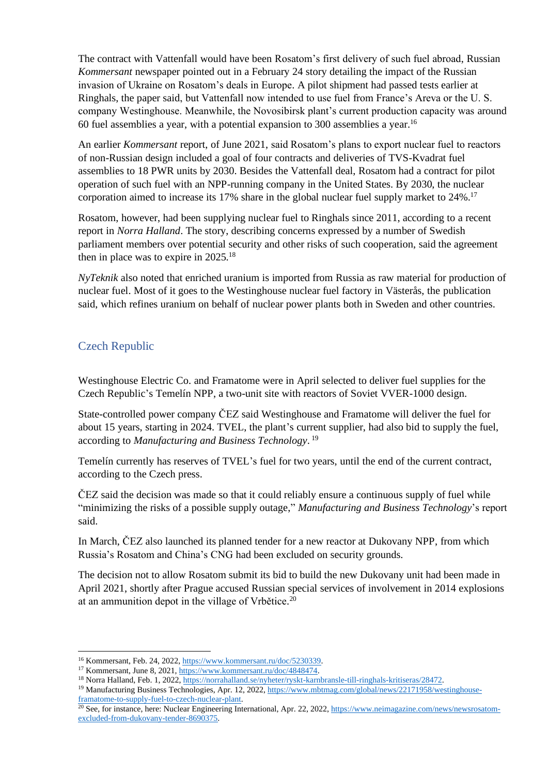The contract with Vattenfall would have been Rosatom's first delivery of such fuel abroad, Russian *Kommersant* newspaper pointed out in a February 24 story detailing the impact of the Russian invasion of Ukraine on Rosatom's deals in Europe. A pilot shipment had passed tests earlier at Ringhals, the paper said, but Vattenfall now intended to use fuel from France's Areva or the U. S. company Westinghouse. Meanwhile, the Novosibirsk plant's current production capacity was around 60 fuel assemblies a year, with a potential expansion to 300 assemblies a year.<sup>16</sup>

An earlier *Kommersant* report, of June 2021, said Rosatom's plans to export nuclear fuel to reactors of non-Russian design included a goal of four contracts and deliveries of TVS-Kvadrat fuel assemblies to 18 PWR units by 2030. Besides the Vattenfall deal, Rosatom had a contract for pilot operation of such fuel with an NPP-running company in the United States. By 2030, the nuclear corporation aimed to increase its 17% share in the global nuclear fuel supply market to 24%.<sup>17</sup>

Rosatom, however, had been supplying nuclear fuel to Ringhals since 2011, according to a recent report in *Norra Halland*. The story, describing concerns expressed by a number of Swedish parliament members over potential security and other risks of such cooperation, said the agreement then in place was to expire in 2025.<sup>18</sup>

*NyTeknik* also noted that enriched uranium is imported from Russia as raw material for production of nuclear fuel. Most of it goes to the Westinghouse nuclear fuel factory in Västerås, the publication said, which refines uranium on behalf of nuclear power plants both in Sweden and other countries.

# Czech Republic

Westinghouse Electric Co. and Framatome were in April selected to deliver fuel supplies for the Czech Republic's Temelín NPP, a two-unit site with reactors of Soviet VVER-1000 design.

State-controlled power company ČEZ said Westinghouse and Framatome will deliver the fuel for about 15 years, starting in 2024. TVEL, the plant's current supplier, had also bid to supply the fuel, according to *Manufacturing and Business Technology*. 19

Temelín currently has reserves of TVEL's fuel for two years, until the end of the current contract, according to the Czech press.

ČEZ said the decision was made so that it could reliably ensure a continuous supply of fuel while "minimizing the risks of a possible supply outage," *Manufacturing and Business Technology*'s report said.

In March, ČEZ also launched its planned tender for a new reactor at Dukovany NPP, from which Russia's Rosatom and China's CNG had been excluded on security grounds.

The decision not to allow Rosatom submit its bid to build the new Dukovany unit had been made in April 2021, shortly after Prague accused Russian special services of involvement in 2014 explosions at an ammunition depot in the village of Vrbětice. 20

<sup>16</sup> Kommersant, Feb. 24, 2022[, https://www.kommersant.ru/doc/5230339.](https://www.kommersant.ru/doc/5230339)

<sup>17</sup> Kommersant, June 8, 2021[, https://www.kommersant.ru/doc/4848474.](https://www.kommersant.ru/doc/4848474)

<sup>18</sup> Norra Halland, Feb. 1, 2022, [https://norrahalland.se/nyheter/ryskt-karnbransle-till-ringhals-kritiseras/28472.](https://norrahalland.se/nyheter/ryskt-karnbransle-till-ringhals-kritiseras/28472)

<sup>&</sup>lt;sup>19</sup> Manufacturing Business Technologies, Apr. 12, 2022, [https://www.mbtmag.com/global/news/22171958/westinghouse](https://www.mbtmag.com/global/news/22171958/westinghouse-framatome-to-supply-fuel-to-czech-nuclear-plant)[framatome-to-supply-fuel-to-czech-nuclear-plant.](https://www.mbtmag.com/global/news/22171958/westinghouse-framatome-to-supply-fuel-to-czech-nuclear-plant)

<sup>&</sup>lt;sup>20</sup> See, for instance, here: Nuclear Engineering International, Apr. 22, 2022[, https://www.neimagazine.com/news/newsrosatom](https://www.neimagazine.com/news/newsrosatom-excluded-from-dukovany-tender-8690375)[excluded-from-dukovany-tender-8690375.](https://www.neimagazine.com/news/newsrosatom-excluded-from-dukovany-tender-8690375)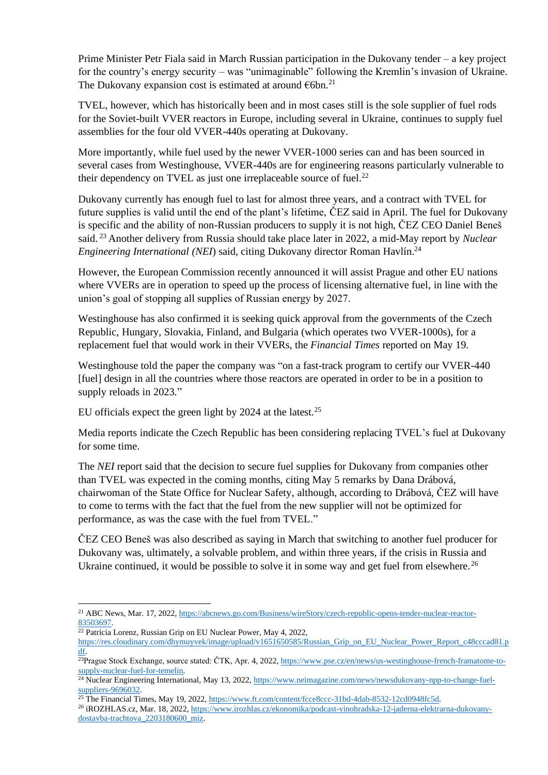Prime Minister Petr Fiala said in March Russian participation in the Dukovany tender – a key project for the country's energy security – was "unimaginable" following the Kremlin's invasion of Ukraine. The Dukovany expansion cost is estimated at around  $\epsilon$ 6bn.<sup>21</sup>

TVEL, however, which has historically been and in most cases still is the sole supplier of fuel rods for the Soviet-built VVER reactors in Europe, including several in Ukraine, continues to supply fuel assemblies for the four old VVER-440s operating at Dukovany.

More importantly, while fuel used by the newer VVER-1000 series can and has been sourced in several cases from Westinghouse, VVER-440s are for engineering reasons particularly vulnerable to their dependency on TVEL as just one irreplaceable source of fuel.<sup>22</sup>

Dukovany currently has enough fuel to last for almost three years, and a contract with TVEL for future supplies is valid until the end of the plant's lifetime, ČEZ said in April. The fuel for Dukovany is specific and the ability of non-Russian producers to supply it is not high, ČEZ CEO Daniel Beneš said. <sup>23</sup> Another delivery from Russia should take place later in 2022, a mid-May report by *Nuclear Engineering International (NEI*) said, citing Dukovany director Roman Havlín. 24

However, the European Commission recently announced it will assist Prague and other EU nations where VVERs are in operation to speed up the process of licensing alternative fuel, in line with the union's goal of stopping all supplies of Russian energy by 2027.

Westinghouse has also confirmed it is seeking quick approval from the governments of the Czech Republic, Hungary, Slovakia, Finland, and Bulgaria (which operates two VVER-1000s), for a replacement fuel that would work in their VVERs, the *Financial Times* reported on May 19.

Westinghouse told the paper the company was "on a fast-track program to certify our VVER-440 [fuel] design in all the countries where those reactors are operated in order to be in a position to supply reloads in 2023."

EU officials expect the green light by 2024 at the latest.<sup>25</sup>

Media reports indicate the Czech Republic has been considering replacing TVEL's fuel at Dukovany for some time.

The *NEI* report said that the decision to secure fuel supplies for Dukovany from companies other than TVEL was expected in the coming months, citing May 5 remarks by Dana Drábová, chairwoman of the State Office for Nuclear Safety, although, according to Drábová, ČEZ will have to come to terms with the fact that the fuel from the new supplier will not be optimized for performance, as was the case with the fuel from TVEL."

ČEZ CEO Beneš was also described as saying in March that switching to another fuel producer for Dukovany was, ultimately, a solvable problem, and within three years, if the crisis in Russia and Ukraine continued, it would be possible to solve it in some way and get fuel from elsewhere.<sup>26</sup>

<sup>21</sup> ABC News, Mar. 17, 2022[, https://abcnews.go.com/Business/wireStory/czech-republic-opens-tender-nuclear-reactor-](https://abcnews.go.com/Business/wireStory/czech-republic-opens-tender-nuclear-reactor-83503697)[83503697.](https://abcnews.go.com/Business/wireStory/czech-republic-opens-tender-nuclear-reactor-83503697)

 $22$  Patricia Lorenz, Russian Grip on EU Nuclear Power, May 4, 2022,

[https://res.cloudinary.com/dhymuyvek/image/upload/v1651650585/Russian\\_Grip\\_on\\_EU\\_Nuclear\\_Power\\_Report\\_c48cccad81.p](https://res.cloudinary.com/dhymuyvek/image/upload/v1651650585/Russian_Grip_on_EU_Nuclear_Power_Report_c48cccad81.pdf) [df.](https://res.cloudinary.com/dhymuyvek/image/upload/v1651650585/Russian_Grip_on_EU_Nuclear_Power_Report_c48cccad81.pdf)

 $\frac{23}{23}$ Prague Stock Exchange, source stated: ČTK, Apr. 4, 2022, [https://www.pse.cz/en/news/us-westinghouse-french-framatome-to](https://www.pse.cz/en/news/us-westinghouse-french-framatome-to-supply-nuclear-fuel-for-temelin)[supply-nuclear-fuel-for-temelin.](https://www.pse.cz/en/news/us-westinghouse-french-framatome-to-supply-nuclear-fuel-for-temelin)

<sup>&</sup>lt;sup>24</sup> Nuclear Engineering International, May 13, 2022[, https://www.neimagazine.com/news/newsdukovany-npp-to-change-fuel](https://www.neimagazine.com/news/newsdukovany-npp-to-change-fuel-suppliers-9696032)[suppliers-9696032.](https://www.neimagazine.com/news/newsdukovany-npp-to-change-fuel-suppliers-9696032)

 $\frac{25 \text{ The Financial Times, May 19, 2022, <https://www.ft.com/content/fce@ccc-31bd-4dab-8532-12cd0948fc5d>.}$ 

<sup>26</sup> iROZHLAS.cz, Mar. 18, 2022[, https://www.irozhlas.cz/ekonomika/podcast-vinohradska-12-jaderna-elektrarna-dukovany](https://www.irozhlas.cz/ekonomika/podcast-vinohradska-12-jaderna-elektrarna-dukovany-dostavba-trachtova_2203180600_miz)[dostavba-trachtova\\_2203180600\\_miz.](https://www.irozhlas.cz/ekonomika/podcast-vinohradska-12-jaderna-elektrarna-dukovany-dostavba-trachtova_2203180600_miz)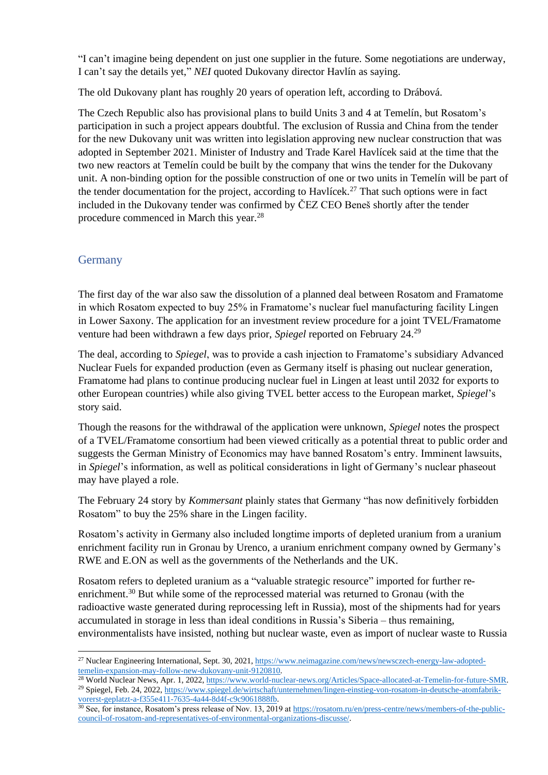"I can't imagine being dependent on just one supplier in the future. Some negotiations are underway, I can't say the details yet," *NEI* quoted Dukovany director Havlín as saying.

The old Dukovany plant has roughly 20 years of operation left, according to Drábová.

The Czech Republic also has provisional plans to build Units 3 and 4 at Temelín, but Rosatom's participation in such a project appears doubtful. The exclusion of Russia and China from the tender for the new Dukovany unit was written into legislation approving new nuclear construction that was adopted in September 2021. Minister of Industry and Trade Karel Havlícek said at the time that the two new reactors at Temelín could be built by the company that wins the tender for the Dukovany unit. A non-binding option for the possible construction of one or two units in Temelín will be part of the tender documentation for the project, according to Havlícek.<sup>27</sup> That such options were in fact included in the Dukovany tender was confirmed by ČEZ CEO Beneš shortly after the tender procedure commenced in March this year.<sup>28</sup>

## **Germany**

The first day of the war also saw the dissolution of a planned deal between Rosatom and Framatome in which Rosatom expected to buy 25% in Framatome's nuclear fuel manufacturing facility Lingen in Lower Saxony. The application for an investment review procedure for a joint TVEL/Framatome venture had been withdrawn a few days prior, *Spiegel* reported on February 24.<sup>29</sup>

The deal, according to *Spiegel*, was to provide a cash injection to Framatome's subsidiary Advanced Nuclear Fuels for expanded production (even as Germany itself is phasing out nuclear generation, Framatome had plans to continue producing nuclear fuel in Lingen at least until 2032 for exports to other European countries) while also giving TVEL better access to the European market, *Spiegel*'s story said.

Though the reasons for the withdrawal of the application were unknown, *Spiegel* notes the prospect of a TVEL/Framatome consortium had been viewed critically as a potential threat to public order and suggests the German Ministry of Economics may have banned Rosatom's entry. Imminent lawsuits, in *Spiegel*'s information, as well as political considerations in light of Germany's nuclear phaseout may have played a role.

The February 24 story by *Kommersant* plainly states that Germany "has now definitively forbidden Rosatom" to buy the 25% share in the Lingen facility.

Rosatom's activity in Germany also included longtime imports of depleted uranium from a uranium enrichment facility run in Gronau by Urenco, a uranium enrichment company owned by Germany's RWE and E.ON as well as the governments of the Netherlands and the UK.

Rosatom refers to depleted uranium as a "valuable strategic resource" imported for further reenrichment.<sup>30</sup> But while some of the reprocessed material was returned to Gronau (with the radioactive waste generated during reprocessing left in Russia), most of the shipments had for years accumulated in storage in less than ideal conditions in Russia's Siberia – thus remaining, environmentalists have insisted, nothing but nuclear waste, even as import of nuclear waste to Russia

<sup>27</sup> Nuclear Engineering International, Sept. 30, 2021[, https://www.neimagazine.com/news/newsczech-energy-law-adopted](https://www.neimagazine.com/news/newsczech-energy-law-adopted-temelin-expansion-may-follow-new-dukovany-unit-9120810)[temelin-expansion-may-follow-new-dukovany-unit-9120810.](https://www.neimagazine.com/news/newsczech-energy-law-adopted-temelin-expansion-may-follow-new-dukovany-unit-9120810)

<sup>&</sup>lt;sup>28</sup> World Nuclear News, Apr. 1, 2022[, https://www.world-nuclear-news.org/Articles/Space-allocated-at-Temelin-for-future-SMR.](https://www.world-nuclear-news.org/Articles/Space-allocated-at-Temelin-for-future-SMR) <sup>29</sup> Spiegel, Feb. 24, 2022, [https://www.spiegel.de/wirtschaft/unternehmen/lingen-einstieg-von-rosatom-in-deutsche-atomfabrik](https://www.spiegel.de/wirtschaft/unternehmen/lingen-einstieg-von-rosatom-in-deutsche-atomfabrik-vorerst-geplatzt-a-f355e411-7635-4a44-8d4f-c9c9061888fb)[vorerst-geplatzt-a-f355e411-7635-4a44-8d4f-c9c9061888fb.](https://www.spiegel.de/wirtschaft/unternehmen/lingen-einstieg-von-rosatom-in-deutsche-atomfabrik-vorerst-geplatzt-a-f355e411-7635-4a44-8d4f-c9c9061888fb)

<sup>&</sup>lt;sup>30</sup> See, for instance, Rosatom's press release of Nov. 13, 2019 a[t https://rosatom.ru/en/press-centre/news/members-of-the-public](https://rosatom.ru/en/press-centre/news/members-of-the-public-council-of-rosatom-and-representatives-of-environmental-organizations-discusse/)[council-of-rosatom-and-representatives-of-environmental-organizations-discusse/.](https://rosatom.ru/en/press-centre/news/members-of-the-public-council-of-rosatom-and-representatives-of-environmental-organizations-discusse/)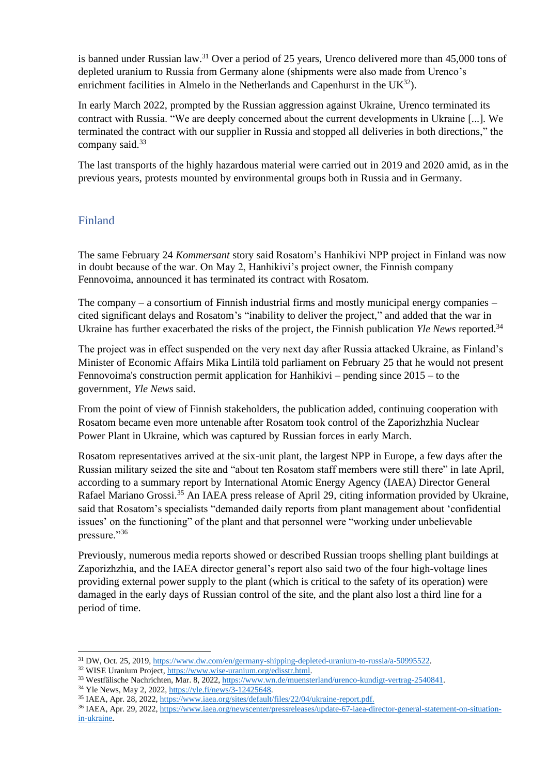is banned under Russian law.<sup>31</sup> Over a period of 25 years, Urenco delivered more than 45,000 tons of depleted uranium to Russia from Germany alone (shipments were also made from Urenco's enrichment facilities in Almelo in the Netherlands and Capenhurst in the UK<sup>32</sup>).

In early March 2022, prompted by the Russian aggression against Ukraine, Urenco terminated its contract with Russia. "We are deeply concerned about the current developments in Ukraine [...]. We terminated the contract with our supplier in Russia and stopped all deliveries in both directions," the company said.<sup>33</sup>

The last transports of the highly hazardous material were carried out in 2019 and 2020 amid, as in the previous years, protests mounted by environmental groups both in Russia and in Germany.

### Finland

The same February 24 *Kommersant* story said Rosatom's Hanhikivi NPP project in Finland was now in doubt because of the war. On May 2, Hanhikivi's project owner, the Finnish company Fennovoima, announced it has terminated its contract with Rosatom.

The company – a consortium of Finnish industrial firms and mostly municipal energy companies – cited significant delays and Rosatom's "inability to deliver the project," and added that the war in Ukraine has further exacerbated the risks of the project, the Finnish publication *Yle News* reported.<sup>34</sup>

The project was in effect suspended on the very next day after Russia attacked Ukraine, as Finland's Minister of Economic Affairs Mika Lintilä told parliament on February 25 that he would not present Fennovoima's construction permit application for Hanhikivi – pending since 2015 – to the government, *Yle News* said.

From the point of view of Finnish stakeholders, the publication added, continuing cooperation with Rosatom became even more untenable after Rosatom took control of the Zaporizhzhia Nuclear Power Plant in Ukraine, which was captured by Russian forces in early March.

Rosatom representatives arrived at the six-unit plant, the largest NPP in Europe, a few days after the Russian military seized the site and "about ten Rosatom staff members were still there" in late April, according to a summary report by International Atomic Energy Agency (IAEA) Director General Rafael Mariano Grossi.<sup>35</sup> An IAEA press release of April 29, citing information provided by Ukraine, said that Rosatom's specialists "demanded daily reports from plant management about 'confidential issues' on the functioning" of the plant and that personnel were "working under unbelievable pressure."36

Previously, numerous media reports showed or described Russian troops shelling plant buildings at Zaporizhzhia, and the IAEA director general's report also said two of the four high-voltage lines providing external power supply to the plant (which is critical to the safety of its operation) were damaged in the early days of Russian control of the site, and the plant also lost a third line for a period of time.

<sup>34</sup> Yle News, May 2, 2022, [https://yle.fi/news/3-12425648.](https://yle.fi/news/3-12425648)

<sup>31</sup> DW, Oct. 25, 2019[, https://www.dw.com/en/germany-shipping-depleted-uranium-to-russia/a-50995522.](https://www.dw.com/en/germany-shipping-depleted-uranium-to-russia/a-50995522)

<sup>32</sup> WISE Uranium Project, [https://www.wise-uranium.org/edisstr.html.](https://www.wise-uranium.org/edisstr.html)

<sup>33</sup> Westfälische Nachrichten, Mar. 8, 2022[, https://www.wn.de/muensterland/urenco-kundigt-vertrag-2540841.](https://www.wn.de/muensterland/urenco-kundigt-vertrag-2540841)

<sup>35</sup> IAEA, Apr. 28, 2022, [https://www.iaea.org/sites/default/files/22/04/ukraine-report.pdf.](https://www.iaea.org/sites/default/files/22/04/ukraine-report.pdf)

<sup>36</sup> IAEA, Apr. 29, 2022, [https://www.iaea.org/newscenter/pressreleases/update-67-iaea-director-general-statement-on-situation](https://www.iaea.org/newscenter/pressreleases/update-67-iaea-director-general-statement-on-situation-in-ukraine)[in-ukraine.](https://www.iaea.org/newscenter/pressreleases/update-67-iaea-director-general-statement-on-situation-in-ukraine)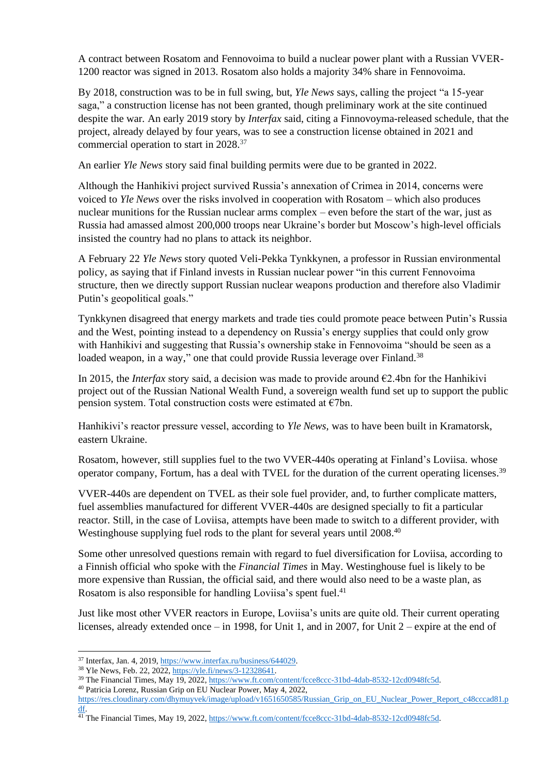A contract between Rosatom and Fennovoima to build a nuclear power plant with a Russian VVER-1200 reactor was signed in 2013. Rosatom also holds a majority 34% share in Fennovoima.

By 2018, construction was to be in full swing, but, *Yle News* says, calling the project "a 15-year saga," a construction license has not been granted, though preliminary work at the site continued despite the war. An early 2019 story by *Interfax* said, citing a Finnovoyma-released schedule, that the project, already delayed by four years, was to see a construction license obtained in 2021 and commercial operation to start in 2028.<sup>37</sup>

An earlier *Yle News* story said final building permits were due to be granted in 2022.

Although the Hanhikivi project survived Russia's annexation of Crimea in 2014, concerns were voiced to *Yle News* over the risks involved in cooperation with Rosatom – which also produces nuclear munitions for the Russian nuclear arms complex – even before the start of the war, just as Russia had amassed almost 200,000 troops near Ukraine's border but Moscow's high-level officials insisted the country had no plans to attack its neighbor.

A February 22 *Yle News* story quoted Veli-Pekka Tynkkynen, a professor in Russian environmental policy, as saying that if Finland invests in Russian nuclear power "in this current Fennovoima structure, then we directly support Russian nuclear weapons production and therefore also Vladimir Putin's geopolitical goals."

Tynkkynen disagreed that energy markets and trade ties could promote peace between Putin's Russia and the West, pointing instead to a dependency on Russia's energy supplies that could only grow with Hanhikivi and suggesting that Russia's ownership stake in Fennovoima "should be seen as a loaded weapon, in a way," one that could provide Russia leverage over Finland.<sup>38</sup>

In 2015, the *Interfax* story said, a decision was made to provide around  $\epsilon$ 2.4bn for the Hanhikivi project out of the Russian National Wealth Fund, a sovereign wealth fund set up to support the public pension system. Total construction costs were estimated at  $\epsilon$ 7bn.

Hanhikivi's reactor pressure vessel, according to *Yle News,* was to have been built in Kramatorsk, eastern Ukraine.

Rosatom, however, still supplies fuel to the two VVER-440s operating at Finland's Loviisa. whose operator company, Fortum, has a deal with TVEL for the duration of the current operating licenses.<sup>39</sup>

VVER-440s are dependent on TVEL as their sole fuel provider, and, to further complicate matters, fuel assemblies manufactured for different VVER-440s are designed specially to fit a particular reactor. Still, in the case of Loviisa, attempts have been made to switch to a different provider, with Westinghouse supplying fuel rods to the plant for several years until 2008.<sup>40</sup>

Some other unresolved questions remain with regard to fuel diversification for Loviisa, according to a Finnish official who spoke with the *Financial Times* in May. Westinghouse fuel is likely to be more expensive than Russian, the official said, and there would also need to be a waste plan, as Rosatom is also responsible for handling Loviisa's spent fuel.<sup>41</sup>

Just like most other VVER reactors in Europe, Loviisa's units are quite old. Their current operating licenses, already extended once – in 1998, for Unit 1, and in 2007, for Unit 2 – expire at the end of

<sup>37</sup> Interfax, Jan. 4, 2019[, https://www.interfax.ru/business/644029.](https://www.interfax.ru/business/644029)

<sup>38</sup> Yle News, Feb. 22, 2022[, https://yle.fi/news/3-12328641.](https://yle.fi/news/3-12328641)

<sup>&</sup>lt;sup>39</sup> The Financial Times, May 19, 2022, [https://www.ft.com/content/fcce8ccc-31bd-4dab-8532-12cd0948fc5d.](https://www.ft.com/content/fcce8ccc-31bd-4dab-8532-12cd0948fc5d)

<sup>40</sup> Patricia Lorenz, Russian Grip on EU Nuclear Power, May 4, 2022,

[https://res.cloudinary.com/dhymuyvek/image/upload/v1651650585/Russian\\_Grip\\_on\\_EU\\_Nuclear\\_Power\\_Report\\_c48cccad81.p](https://res.cloudinary.com/dhymuyvek/image/upload/v1651650585/Russian_Grip_on_EU_Nuclear_Power_Report_c48cccad81.pdf) [df.](https://res.cloudinary.com/dhymuyvek/image/upload/v1651650585/Russian_Grip_on_EU_Nuclear_Power_Report_c48cccad81.pdf)

<sup>&</sup>lt;sup>41</sup> The Financial Times, May 19, 2022, [https://www.ft.com/content/fcce8ccc-31bd-4dab-8532-12cd0948fc5d.](https://www.ft.com/content/fcce8ccc-31bd-4dab-8532-12cd0948fc5d)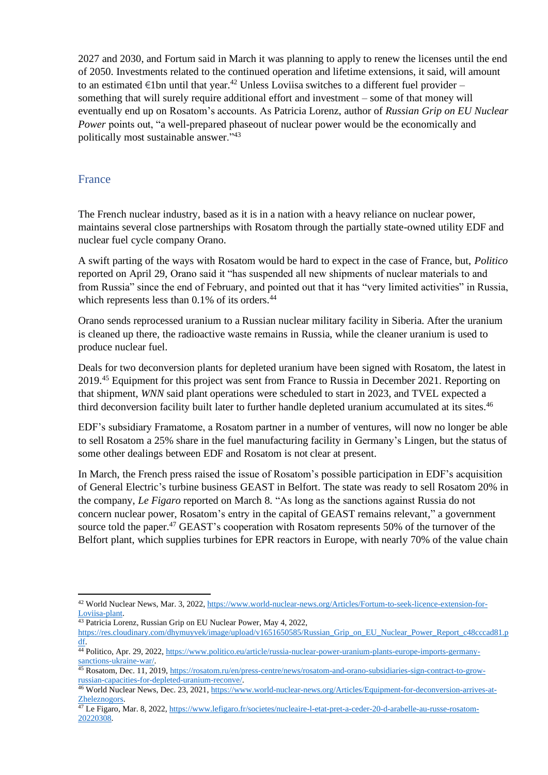2027 and 2030, and Fortum said in March it was planning to apply to renew the licenses until the end of 2050. Investments related to the continued operation and lifetime extensions, it said, will amount to an estimated  $\epsilon$ 1bn until that year.<sup>42</sup> Unless Loviisa switches to a different fuel provider – something that will surely require additional effort and investment – some of that money will eventually end up on Rosatom's accounts. As Patricia Lorenz, author of *Russian Grip on EU Nuclear Power* points out, "a well-prepared phaseout of nuclear power would be the economically and politically most sustainable answer."<sup>43</sup>

#### France

The French nuclear industry, based as it is in a nation with a heavy reliance on nuclear power, maintains several close partnerships with Rosatom through the partially state-owned utility EDF and nuclear fuel cycle company Orano.

A swift parting of the ways with Rosatom would be hard to expect in the case of France, but, *Politico* reported on April 29, Orano said it "has suspended all new shipments of nuclear materials to and from Russia" since the end of February, and pointed out that it has "very limited activities" in Russia, which represents less than  $0.1\%$  of its orders.<sup>44</sup>

Orano sends reprocessed uranium to a Russian nuclear military facility in Siberia. After the uranium is cleaned up there, the radioactive waste remains in Russia, while the cleaner uranium is used to produce nuclear fuel.

Deals for two deconversion plants for depleted uranium have been signed with Rosatom, the latest in 2019.<sup>45</sup> Equipment for this project was sent from France to Russia in December 2021. Reporting on that shipment, *WNN* said plant operations were scheduled to start in 2023, and TVEL expected a third deconversion facility built later to further handle depleted uranium accumulated at its sites.<sup>46</sup>

EDF's subsidiary Framatome, a Rosatom partner in a number of ventures, will now no longer be able to sell Rosatom a 25% share in the fuel manufacturing facility in Germany's Lingen, but the status of some other dealings between EDF and Rosatom is not clear at present.

In March, the French press raised the issue of Rosatom's possible participation in EDF's acquisition of General Electric's turbine business GEAST in Belfort. The state was ready to sell Rosatom 20% in the company, *Le Figaro* reported on March 8. "As long as the sanctions against Russia do not concern nuclear power, Rosatom's entry in the capital of GEAST remains relevant," a government source told the paper.<sup>47</sup> GEAST's cooperation with Rosatom represents 50% of the turnover of the Belfort plant, which supplies turbines for EPR reactors in Europe, with nearly 70% of the value chain

<sup>42</sup> World Nuclear News, Mar. 3, 2022[, https://www.world-nuclear-news.org/Articles/Fortum-to-seek-licence-extension-for-](https://www.world-nuclear-news.org/Articles/Fortum-to-seek-licence-extension-for-Loviisa-plant)[Loviisa-plant.](https://www.world-nuclear-news.org/Articles/Fortum-to-seek-licence-extension-for-Loviisa-plant)

<sup>&</sup>lt;sup>43</sup> Patricia Lorenz, Russian Grip on EU Nuclear Power, May 4, 2022,

[https://res.cloudinary.com/dhymuyvek/image/upload/v1651650585/Russian\\_Grip\\_on\\_EU\\_Nuclear\\_Power\\_Report\\_c48cccad81.p](https://res.cloudinary.com/dhymuyvek/image/upload/v1651650585/Russian_Grip_on_EU_Nuclear_Power_Report_c48cccad81.pdf) [df.](https://res.cloudinary.com/dhymuyvek/image/upload/v1651650585/Russian_Grip_on_EU_Nuclear_Power_Report_c48cccad81.pdf)

<sup>&</sup>lt;sup>44</sup> Politico, Apr. 29, 2022[, https://www.politico.eu/article/russia-nuclear-power-uranium-plants-europe-imports-germany](https://www.politico.eu/article/russia-nuclear-power-uranium-plants-europe-imports-germany-sanctions-ukraine-war/)[sanctions-ukraine-war/.](https://www.politico.eu/article/russia-nuclear-power-uranium-plants-europe-imports-germany-sanctions-ukraine-war/)

<sup>45</sup> Rosatom, Dec. 11, 2019, [https://rosatom.ru/en/press-centre/news/rosatom-and-orano-subsidiaries-sign-contract-to-grow](https://rosatom.ru/en/press-centre/news/rosatom-and-orano-subsidiaries-sign-contract-to-grow-russian-capacities-for-depleted-uranium-reconve/)[russian-capacities-for-depleted-uranium-reconve/.](https://rosatom.ru/en/press-centre/news/rosatom-and-orano-subsidiaries-sign-contract-to-grow-russian-capacities-for-depleted-uranium-reconve/)

<sup>46</sup> World Nuclear News, Dec. 23, 2021[, https://www.world-nuclear-news.org/Articles/Equipment-for-deconversion-arrives-at-](https://www.world-nuclear-news.org/Articles/Equipment-for-deconversion-arrives-at-Zheleznogors)[Zheleznogors.](https://www.world-nuclear-news.org/Articles/Equipment-for-deconversion-arrives-at-Zheleznogors)

<sup>&</sup>lt;sup>47</sup> Le Figaro, Mar. 8, 2022, [https://www.lefigaro.fr/societes/nucleaire-l-etat-pret-a-ceder-20-d-arabelle-au-russe-rosatom-](https://www.lefigaro.fr/societes/nucleaire-l-etat-pret-a-ceder-20-d-arabelle-au-russe-rosatom-20220308)[20220308.](https://www.lefigaro.fr/societes/nucleaire-l-etat-pret-a-ceder-20-d-arabelle-au-russe-rosatom-20220308)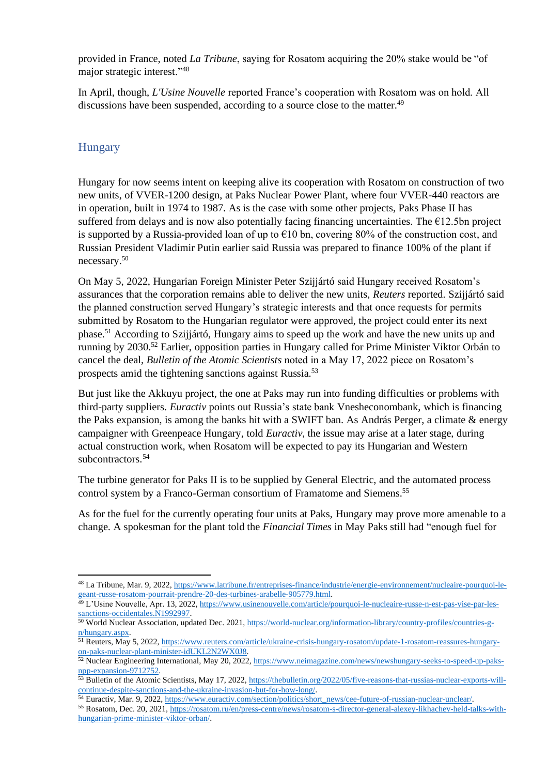provided in France, noted *La Tribune*, saying for Rosatom acquiring the 20% stake would be "of major strategic interest." 48

In April, though, *L'Usine Nouvelle* reported France's cooperation with Rosatom was on hold. All discussions have been suspended, according to a source close to the matter.<sup>49</sup>

### **Hungary**

Hungary for now seems intent on keeping alive its cooperation with Rosatom on construction of two new units, of VVER-1200 design, at Paks Nuclear Power Plant, where four VVER-440 reactors are in operation, built in 1974 to 1987. As is the case with some other projects, Paks Phase II has suffered from delays and is now also potentially facing financing uncertainties. The  $\epsilon$ 12.5bn project is supported by a Russia-provided loan of up to  $\epsilon$ 10 bn, covering 80% of the construction cost, and Russian President Vladimir Putin earlier said Russia was prepared to finance 100% of the plant if necessary.<sup>50</sup>

On May 5, 2022, Hungarian Foreign Minister Peter Szijjártó said Hungary received Rosatom's assurances that the corporation remains able to deliver the new units, *Reuters* reported. Szijjártó said the planned construction served Hungary's strategic interests and that once requests for permits submitted by Rosatom to the Hungarian regulator were approved, the project could enter its next phase. <sup>51</sup> According to Szijjártó, Hungary aims to speed up the work and have the new units up and running by 2030.<sup>52</sup> Earlier, opposition parties in Hungary called for Prime Minister Viktor Orbán to cancel the deal, *Bulletin of the Atomic Scientists* noted in a May 17, 2022 piece on Rosatom's prospects amid the tightening sanctions against Russia.<sup>53</sup>

But just like the Akkuyu project, the one at Paks may run into funding difficulties or problems with third-party suppliers. *Euractiv* points out Russia's state bank Vnesheconombank, which is financing the Paks expansion, is among the banks hit with a SWIFT ban. As András Perger, a climate  $\&$  energy campaigner with Greenpeace Hungary, told *Euractiv*, the issue may arise at a later stage, during actual construction work, when Rosatom will be expected to pay its Hungarian and Western subcontractors.<sup>54</sup>

The turbine generator for Paks II is to be supplied by General Electric, and the automated process control system by a Franco-German consortium of Framatome and Siemens.<sup>55</sup>

As for the fuel for the currently operating four units at Paks, Hungary may prove more amenable to a change. A spokesman for the plant told the *Financial Times* in May Paks still had "enough fuel for

<sup>48</sup> La Tribune, Mar. 9, 2022, [https://www.latribune.fr/entreprises-finance/industrie/energie-environnement/nucleaire-pourquoi-le](https://www.latribune.fr/entreprises-finance/industrie/energie-environnement/nucleaire-pourquoi-le-geant-russe-rosatom-pourrait-prendre-20-des-turbines-arabelle-905779.html)[geant-russe-rosatom-pourrait-prendre-20-des-turbines-arabelle-905779.html.](https://www.latribune.fr/entreprises-finance/industrie/energie-environnement/nucleaire-pourquoi-le-geant-russe-rosatom-pourrait-prendre-20-des-turbines-arabelle-905779.html)

<sup>49</sup> L'Usine Nouvelle, Apr. 13, 2022, [https://www.usinenouvelle.com/article/pourquoi-le-nucleaire-russe-n-est-pas-vise-par-les](https://www.usinenouvelle.com/article/pourquoi-le-nucleaire-russe-n-est-pas-vise-par-les-sanctions-occidentales.N1992997)[sanctions-occidentales.N1992997.](https://www.usinenouvelle.com/article/pourquoi-le-nucleaire-russe-n-est-pas-vise-par-les-sanctions-occidentales.N1992997)

<sup>50</sup> World Nuclear Association, updated Dec. 2021[, https://world-nuclear.org/information-library/country-profiles/countries-g](https://world-nuclear.org/information-library/country-profiles/countries-g-n/hungary.aspx)[n/hungary.aspx.](https://world-nuclear.org/information-library/country-profiles/countries-g-n/hungary.aspx)

<sup>51</sup> Reuters, May 5, 2022[, https://www.reuters.com/article/ukraine-crisis-hungary-rosatom/update-1-rosatom-reassures-hungary](https://www.reuters.com/article/ukraine-crisis-hungary-rosatom/update-1-rosatom-reassures-hungary-on-paks-nuclear-plant-minister-idUKL2N2WX0J8)[on-paks-nuclear-plant-minister-idUKL2N2WX0J8.](https://www.reuters.com/article/ukraine-crisis-hungary-rosatom/update-1-rosatom-reassures-hungary-on-paks-nuclear-plant-minister-idUKL2N2WX0J8)

<sup>&</sup>lt;sup>52</sup> Nuclear Engineering International, May 20, 2022[, https://www.neimagazine.com/news/newshungary-seeks-to-speed-up-paks](https://www.neimagazine.com/news/newshungary-seeks-to-speed-up-paks-npp-expansion-9712752)[npp-expansion-9712752.](https://www.neimagazine.com/news/newshungary-seeks-to-speed-up-paks-npp-expansion-9712752)

<sup>53</sup> Bulletin of the Atomic Scientists, May 17, 2022[, https://thebulletin.org/2022/05/five-reasons-that-russias-nuclear-exports-will](https://thebulletin.org/2022/05/five-reasons-that-russias-nuclear-exports-will-continue-despite-sanctions-and-the-ukraine-invasion-but-for-how-long/)[continue-despite-sanctions-and-the-ukraine-invasion-but-for-how-long/.](https://thebulletin.org/2022/05/five-reasons-that-russias-nuclear-exports-will-continue-despite-sanctions-and-the-ukraine-invasion-but-for-how-long/)

<sup>54</sup> Euractiv, Mar. 9, 2022[, https://www.euractiv.com/section/politics/short\\_news/cee-future-of-russian-nuclear-unclear/.](https://www.euractiv.com/section/politics/short_news/cee-future-of-russian-nuclear-unclear/)

<sup>55</sup> Rosatom, Dec. 20, 2021, [https://rosatom.ru/en/press-centre/news/rosatom-s-director-general-alexey-likhachev-held-talks-with](https://rosatom.ru/en/press-centre/news/rosatom-s-director-general-alexey-likhachev-held-talks-with-hungarian-prime-minister-viktor-orban/)[hungarian-prime-minister-viktor-orban/.](https://rosatom.ru/en/press-centre/news/rosatom-s-director-general-alexey-likhachev-held-talks-with-hungarian-prime-minister-viktor-orban/)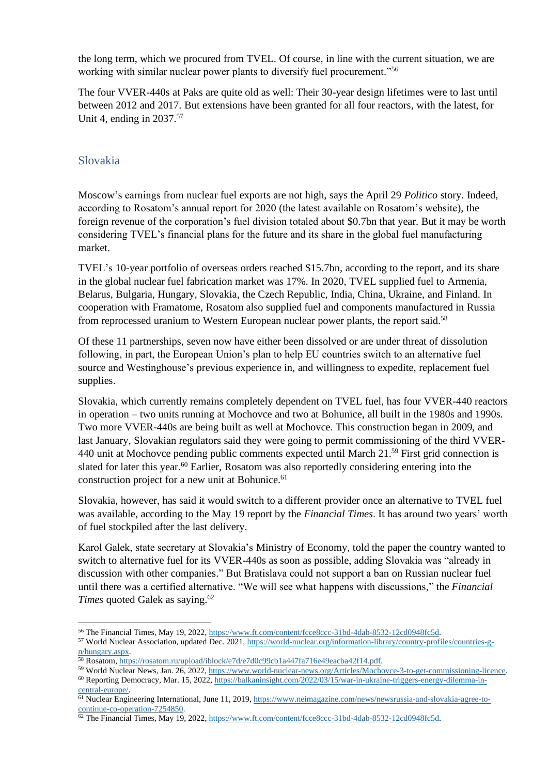the long term, which we procured from TVEL. Of course, in line with the current situation, we are working with similar nuclear power plants to diversify fuel procurement."<sup>56</sup>

The four VVER-440s at Paks are quite old as well: Their 30-year design lifetimes were to last until between 2012 and 2017. But extensions have been granted for all four reactors, with the latest, for Unit 4, ending in 2037.<sup>57</sup>

#### Slovakia

Moscow's earnings from nuclear fuel exports are not high, says the April 29 *Politico* story. Indeed, according to Rosatom's annual report for 2020 (the latest available on Rosatom's website), the foreign revenue of the corporation's fuel division totaled about \$0.7bn that year. But it may be worth considering TVEL's financial plans for the future and its share in the global fuel manufacturing market.

TVEL's 10-year portfolio of overseas orders reached \$15.7bn, according to the report, and its share in the global nuclear fuel fabrication market was 17%. In 2020, TVEL supplied fuel to Armenia, Belarus, Bulgaria, Hungary, Slovakia, the Czech Republic, India, China, Ukraine, and Finland. In cooperation with Framatome, Rosatom also supplied fuel and components manufactured in Russia from reprocessed uranium to Western European nuclear power plants, the report said.<sup>58</sup>

Of these 11 partnerships, seven now have either been dissolved or are under threat of dissolution following, in part, the European Union's plan to help EU countries switch to an alternative fuel source and Westinghouse's previous experience in, and willingness to expedite, replacement fuel supplies.

Slovakia, which currently remains completely dependent on TVEL fuel, has four VVER-440 reactors in operation – two units running at Mochovce and two at Bohunice, all built in the 1980s and 1990s. Two more VVER-440s are being built as well at Mochovce. This construction began in 2009, and last January, Slovakian regulators said they were going to permit commissioning of the third VVER-440 unit at Mochovce pending public comments expected until March 21.<sup>59</sup> First grid connection is slated for later this year.<sup>60</sup> Earlier, Rosatom was also reportedly considering entering into the construction project for a new unit at Bohunice.<sup>61</sup>

Slovakia, however, has said it would switch to a different provider once an alternative to TVEL fuel was available, according to the May 19 report by the *Financial Times*. It has around two years' worth of fuel stockpiled after the last delivery.

Karol Galek, state secretary at Slovakia's Ministry of Economy, told the paper the country wanted to switch to alternative fuel for its VVER-440s as soon as possible, adding Slovakia was "already in discussion with other companies." But Bratislava could not support a ban on Russian nuclear fuel until there was a certified alternative. "We will see what happens with discussions," the *Financial Times* quoted Galek as saying.<sup>62</sup>

<sup>56</sup> The Financial Times, May 19, 2022, [https://www.ft.com/content/fcce8ccc-31bd-4dab-8532-12cd0948fc5d.](https://www.ft.com/content/fcce8ccc-31bd-4dab-8532-12cd0948fc5d)

<sup>57</sup> World Nuclear Association, updated Dec. 2021[, https://world-nuclear.org/information-library/country-profiles/countries-g](https://world-nuclear.org/information-library/country-profiles/countries-g-n/hungary.aspx)[n/hungary.aspx.](https://world-nuclear.org/information-library/country-profiles/countries-g-n/hungary.aspx)

<sup>58</sup> Rosatom, [https://rosatom.ru/upload/iblock/e7d/e7d0c99cb1a447fa716e49eacba42f14.pdf.](https://rosatom.ru/upload/iblock/e7d/e7d0c99cb1a447fa716e49eacba42f14.pdf)

<sup>59</sup> World Nuclear News, Jan. 26, 2022, [https://www.world-nuclear-news.org/Articles/Mochovce-3-to-get-commissioning-licence.](https://www.world-nuclear-news.org/Articles/Mochovce-3-to-get-commissioning-licence) <sup>60</sup> Reporting Democracy, Mar. 15, 2022, [https://balkaninsight.com/2022/03/15/war-in-ukraine-triggers-energy-dilemma-in](https://balkaninsight.com/2022/03/15/war-in-ukraine-triggers-energy-dilemma-in-central-europe/)[central-europe/.](https://balkaninsight.com/2022/03/15/war-in-ukraine-triggers-energy-dilemma-in-central-europe/)

<sup>&</sup>lt;sup>61</sup> Nuclear Engineering International, June 11, 2019, [https://www.neimagazine.com/news/newsrussia-and-slovakia-agree-to](https://www.neimagazine.com/news/newsrussia-and-slovakia-agree-to-continue-co-operation-7254850)[continue-co-operation-7254850.](https://www.neimagazine.com/news/newsrussia-and-slovakia-agree-to-continue-co-operation-7254850)

<sup>62</sup> The Financial Times, May 19, 2022, [https://www.ft.com/content/fcce8ccc-31bd-4dab-8532-12cd0948fc5d.](https://www.ft.com/content/fcce8ccc-31bd-4dab-8532-12cd0948fc5d)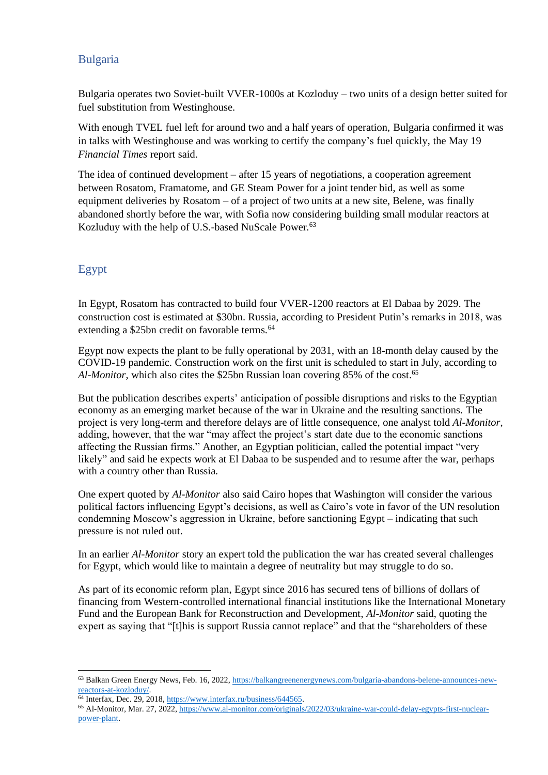## Bulgaria

Bulgaria operates two Soviet-built VVER-1000s at Kozloduy – two units of a design better suited for fuel substitution from Westinghouse.

With enough TVEL fuel left for around two and a half years of operation, Bulgaria confirmed it was in talks with Westinghouse and was working to certify the company's fuel quickly, the May 19 *Financial Times* report said.

The idea of continued development – after 15 years of negotiations, a cooperation agreement between Rosatom, Framatome, and GE Steam Power for a joint tender bid, as well as some equipment deliveries by Rosatom – of a project of two units at a new site, Belene, was finally abandoned shortly before the war, with Sofia now considering building small modular reactors at Kozluduy with the help of U.S.-based NuScale Power.<sup>63</sup>

# Egypt

In Egypt, Rosatom has contracted to build four VVER-1200 reactors at El Dabaa by 2029. The construction cost is estimated at \$30bn. Russia, according to President Putin's remarks in 2018, was extending a \$25bn credit on favorable terms.<sup>64</sup>

Egypt now expects the plant to be fully operational by 2031, with an 18-month delay caused by the COVID-19 pandemic. Construction work on the first unit is scheduled to start in July, according to Al-Monitor, which also cites the \$25bn Russian loan covering 85% of the cost.<sup>65</sup>

But the publication describes experts' anticipation of possible disruptions and risks to the Egyptian economy as an emerging market because of the war in Ukraine and the resulting sanctions. The project is very long-term and therefore delays are of little consequence, one analyst told *Al-Monitor*, adding, however, that the war "may affect the project's start date due to the economic sanctions affecting the Russian firms." Another, an Egyptian politician, called the potential impact "very likely" and said he expects work at El Dabaa to be suspended and to resume after the war, perhaps with a country other than Russia.

One expert quoted by *Al-Monitor* also said Cairo hopes that Washington will consider the various political factors influencing Egypt's decisions, as well as Cairo's vote in favor of the UN resolution condemning Moscow's aggression in Ukraine, before sanctioning Egypt – indicating that such pressure is not ruled out.

In an earlier *Al-Monitor* story an expert told the publication the war has created several challenges for Egypt, which would like to maintain a degree of neutrality but may struggle to do so.

As part of its economic reform plan, Egypt since 2016 has secured tens of billions of dollars of financing from Western-controlled international financial institutions like the International Monetary Fund and the European Bank for Reconstruction and Development, *Al-Monitor* said, quoting the expert as saying that "[t]his is support Russia cannot replace" and that the "shareholders of these

<sup>63</sup> Balkan Green Energy News, Feb. 16, 2022[, https://balkangreenenergynews.com/bulgaria-abandons-belene-announces-new](https://balkangreenenergynews.com/bulgaria-abandons-belene-announces-new-reactors-at-kozloduy/)[reactors-at-kozloduy/.](https://balkangreenenergynews.com/bulgaria-abandons-belene-announces-new-reactors-at-kozloduy/)

<sup>64</sup> Interfax, Dec. 29, 2018, [https://www.interfax.ru/business/644565.](https://www.interfax.ru/business/644565)

<sup>65</sup> Al-Monitor, Mar. 27, 2022, [https://www.al-monitor.com/originals/2022/03/ukraine-war-could-delay-egypts-first-nuclear](https://www.al-monitor.com/originals/2022/03/ukraine-war-could-delay-egypts-first-nuclear-power-plant)[power-plant.](https://www.al-monitor.com/originals/2022/03/ukraine-war-could-delay-egypts-first-nuclear-power-plant)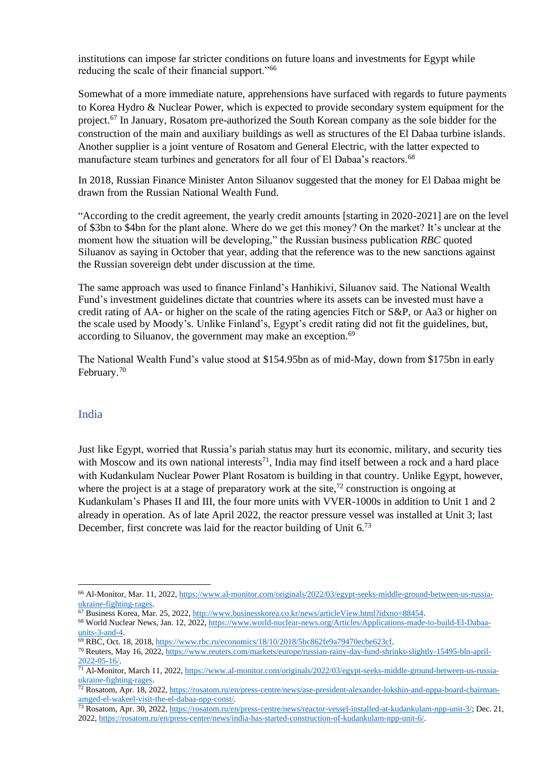institutions can impose far stricter conditions on future loans and investments for Egypt while reducing the scale of their financial support."<sup>66</sup>

Somewhat of a more immediate nature, apprehensions have surfaced with regards to future payments to Korea Hydro & Nuclear Power, which is expected to provide secondary system equipment for the project.<sup>67</sup> In January, Rosatom pre-authorized the South Korean company as the sole bidder for the construction of the main and auxiliary buildings as well as structures of the El Dabaa turbine islands. Another supplier is a joint venture of Rosatom and General Electric, with the latter expected to manufacture steam turbines and generators for all four of El Dabaa's reactors.<sup>68</sup>

In 2018, Russian Finance Minister Anton Siluanov suggested that the money for El Dabaa might be drawn from the Russian National Wealth Fund.

"According to the credit agreement, the yearly credit amounts [starting in 2020-2021] are on the level of \$3bn to \$4bn for the plant alone. Where do we get this money? On the market? It's unclear at the moment how the situation will be developing," the Russian business publication *RBC* quoted Siluanov as saying in October that year, adding that the reference was to the new sanctions against the Russian sovereign debt under discussion at the time.

The same approach was used to finance Finland's Hanhikivi, Siluanov said. The National Wealth Fund's investment guidelines dictate that countries where its assets can be invested must have a credit rating of AA- or higher on the scale of the rating agencies Fitch or S&P, or Aa3 or higher on the scale used by Moody's. Unlike Finland's, Egypt's credit rating did not fit the guidelines, but, according to Siluanov, the government may make an exception.<sup>69</sup>

The National Wealth Fund's value stood at \$154.95bn as of mid-May, down from \$175bn in early February.<sup>70</sup>

#### India

Just like Egypt, worried that Russia's pariah status may hurt its economic, military, and security ties with Moscow and its own national interests<sup>71</sup>, India may find itself between a rock and a hard place with Kudankulam Nuclear Power Plant Rosatom is building in that country. Unlike Egypt, however, where the project is at a stage of preparatory work at the site,<sup>72</sup> construction is ongoing at Kudankulam's Phases II and III, the four more units with VVER-1000s in addition to Unit 1 and 2 already in operation. As of late April 2022, the reactor pressure vessel was installed at Unit 3; last December, first concrete was laid for the reactor building of Unit 6.73

<sup>66</sup> Al-Monitor, Mar. 11, 2022, [https://www.al-monitor.com/originals/2022/03/egypt-seeks-middle-ground-between-us-russia](https://www.al-monitor.com/originals/2022/03/egypt-seeks-middle-ground-between-us-russia-ukraine-fighting-rages)[ukraine-fighting-rages.](https://www.al-monitor.com/originals/2022/03/egypt-seeks-middle-ground-between-us-russia-ukraine-fighting-rages)

<sup>67</sup> Business Korea, Mar. 25, 2022[, http://www.businesskorea.co.kr/news/articleView.html?idxno=88454.](http://www.businesskorea.co.kr/news/articleView.html?idxno=88454) 68 World Nuclear News, Jan. 12, 2022, [https://www.world-nuclear-news.org/Articles/Applications-made-to-build-El-Dabaa](https://www.world-nuclear-news.org/Articles/Applications-made-to-build-El-Dabaa-units-3-and-4)[units-3-and-4.](https://www.world-nuclear-news.org/Articles/Applications-made-to-build-El-Dabaa-units-3-and-4)

<sup>69</sup> RBC, Oct. 18, 2018[, https://www.rbc.ru/economics/18/10/2018/5bc862fe9a79470ecbe623cf.](https://www.rbc.ru/economics/18/10/2018/5bc862fe9a79470ecbe623cf)

<sup>70</sup> Reuters, May 16, 2022, [https://www.reuters.com/markets/europe/russian-rainy-day-fund-shrinks-slightly-15495-bln-april-](https://www.reuters.com/markets/europe/russian-rainy-day-fund-shrinks-slightly-15495-bln-april-2022-05-16/)[2022-05-16/.](https://www.reuters.com/markets/europe/russian-rainy-day-fund-shrinks-slightly-15495-bln-april-2022-05-16/)

<sup>71</sup> Al-Monitor, March 11, 2022, [https://www.al-monitor.com/originals/2022/03/egypt-seeks-middle-ground-between-us-russia](https://www.al-monitor.com/originals/2022/03/egypt-seeks-middle-ground-between-us-russia-ukraine-fighting-rages)[ukraine-fighting-rages.](https://www.al-monitor.com/originals/2022/03/egypt-seeks-middle-ground-between-us-russia-ukraine-fighting-rages)

<sup>72</sup> Rosatom, Apr. 18, 2022[, https://rosatom.ru/en/press-centre/news/ase-president-alexander-lokshin-and-nppa-board-chairman](https://rosatom.ru/en/press-centre/news/ase-president-alexander-lokshin-and-nppa-board-chairman-amged-el-wakeel-visit-the-el-dabaa-npp-const/)[amged-el-wakeel-visit-the-el-dabaa-npp-const/.](https://rosatom.ru/en/press-centre/news/ase-president-alexander-lokshin-and-nppa-board-chairman-amged-el-wakeel-visit-the-el-dabaa-npp-const/)

<sup>73</sup> Rosatom, Apr. 30, 2022[, https://rosatom.ru/en/press-centre/news/reactor-vessel-installed-at-kudankulam-npp-unit-3/;](https://rosatom.ru/en/press-centre/news/reactor-vessel-installed-at-kudankulam-npp-unit-3/) Dec. 21, 2022[, https://rosatom.ru/en/press-centre/news/india-has-started-construction-of-kudankulam-npp-unit-6/.](https://rosatom.ru/en/press-centre/news/india-has-started-construction-of-kudankulam-npp-unit-6/)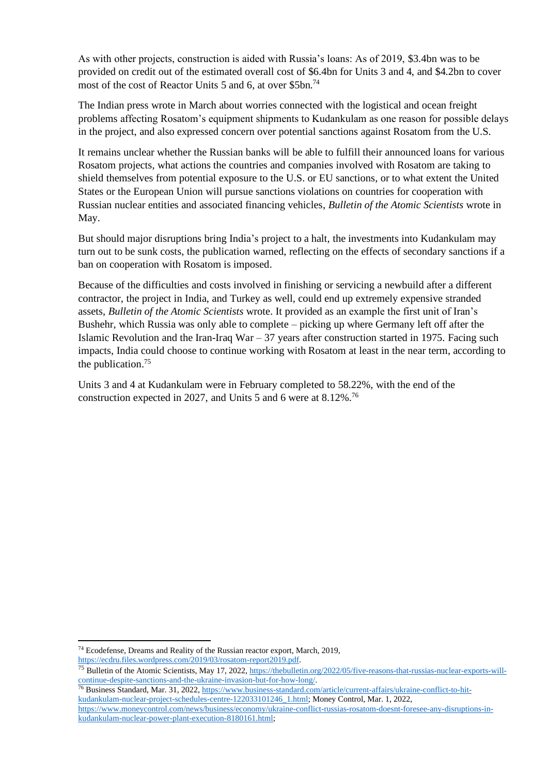As with other projects, construction is aided with Russia's loans: As of 2019, \$3.4bn was to be provided on credit out of the estimated overall cost of \$6.4bn for Units 3 and 4, and \$4.2bn to cover most of the cost of Reactor Units 5 and 6, at over \$5bn.<sup>74</sup>

The Indian press wrote in March about worries connected with the logistical and ocean freight problems affecting Rosatom's equipment shipments to Kudankulam as one reason for possible delays in the project, and also expressed concern over potential sanctions against Rosatom from the U.S.

It remains unclear whether the Russian banks will be able to fulfill their announced loans for various Rosatom projects, what actions the countries and companies involved with Rosatom are taking to shield themselves from potential exposure to the U.S. or EU sanctions, or to what extent the United States or the European Union will pursue sanctions violations on countries for cooperation with Russian nuclear entities and associated financing vehicles, *Bulletin of the Atomic Scientists* wrote in May.

But should major disruptions bring India's project to a halt, the investments into Kudankulam may turn out to be sunk costs, the publication warned, reflecting on the effects of secondary sanctions if a ban on cooperation with Rosatom is imposed.

Because of the difficulties and costs involved in finishing or servicing a newbuild after a different contractor, the project in India, and Turkey as well, could end up extremely expensive stranded assets, *Bulletin of the Atomic Scientists* wrote. It provided as an example the first unit of Iran's Bushehr, which Russia was only able to complete – picking up where Germany left off after the Islamic Revolution and the Iran-Iraq War – 37 years after construction started in 1975. Facing such impacts, India could choose to continue working with Rosatom at least in the near term, according to the publication. 75

Units 3 and 4 at Kudankulam were in February completed to 58.22%, with the end of the construction expected in 2027, and Units 5 and 6 were at 8.12%.<sup>76</sup>

26 Business Standard, Mar. 31, 2022, https://www.business-standard.com/article/current-affairs/ukraine-conflict-to-hit-<br><sup>76</sup> Business Standard, Mar. 31, 2022, https://www.business-standard.com/article/current-affairs/ukrai [kudankulam-nuclear-project-schedules-centre-122033101246\\_1.html;](https://www.business-standard.com/article/current-affairs/ukraine-conflict-to-hit-kudankulam-nuclear-project-schedules-centre-122033101246_1.html) Money Control, Mar. 1, 2022, [https://www.moneycontrol.com/news/business/economy/ukraine-conflict-russias-rosatom-doesnt-foresee-any-disruptions-in](https://www.moneycontrol.com/news/business/economy/ukraine-conflict-russias-rosatom-doesnt-foresee-any-disruptions-in-kudankulam-nuclear-power-plant-execution-8180161.html)[kudankulam-nuclear-power-plant-execution-8180161.html;](https://www.moneycontrol.com/news/business/economy/ukraine-conflict-russias-rosatom-doesnt-foresee-any-disruptions-in-kudankulam-nuclear-power-plant-execution-8180161.html)

<sup>74</sup> Ecodefense, Dreams and Reality of the Russian reactor export, March, 2019, [https://ecdru.files.wordpress.com/2019/03/rosatom-report2019.pdf.](https://ecdru.files.wordpress.com/2019/03/rosatom-report2019.pdf)

<sup>&</sup>lt;sup>75</sup> Bulletin of the Atomic Scientists, May 17, 2022, [https://thebulletin.org/2022/05/five-reasons-that-russias-nuclear-exports-will](https://thebulletin.org/2022/05/five-reasons-that-russias-nuclear-exports-will-continue-despite-sanctions-and-the-ukraine-invasion-but-for-how-long/)[continue-despite-sanctions-and-the-ukraine-invasion-but-for-how-long/.](https://thebulletin.org/2022/05/five-reasons-that-russias-nuclear-exports-will-continue-despite-sanctions-and-the-ukraine-invasion-but-for-how-long/)